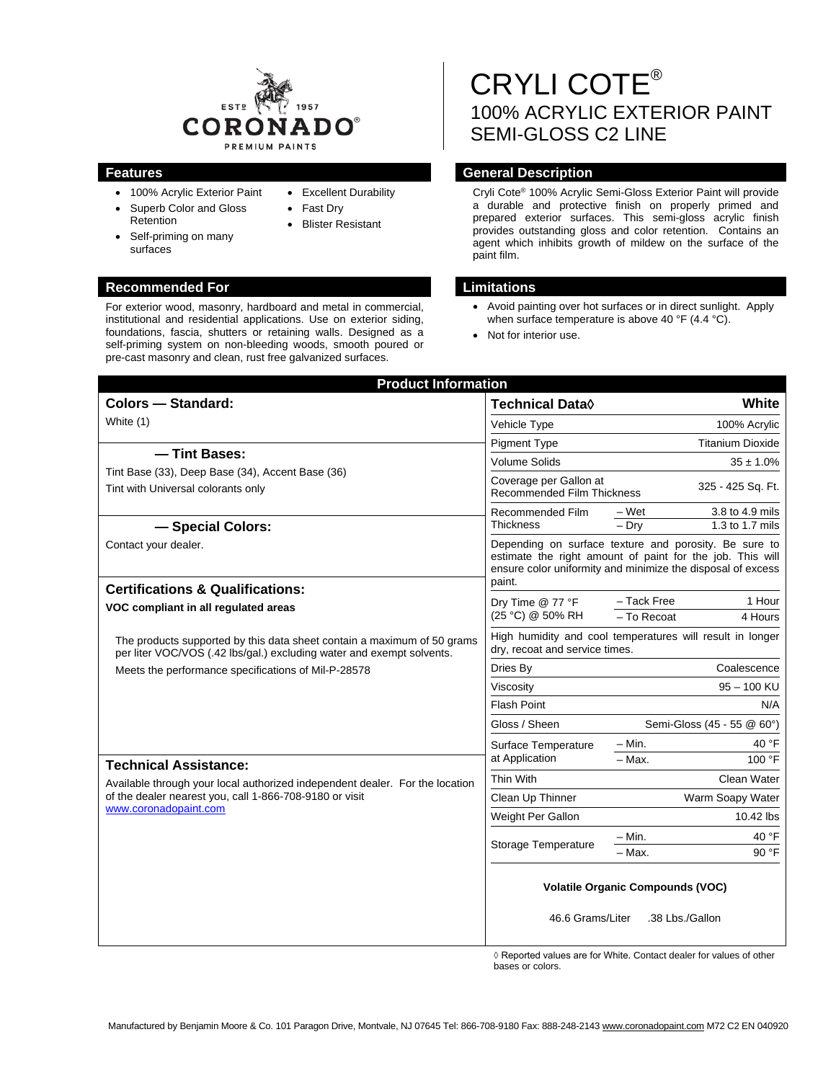

- 100% Acrylic Exterior Paint
- Superb Color and Gloss Retention
- surfaces
- Excellent Durability • Fast Dry
- Blister Resistant
- Self-priming on many

#### **Recommended For Limitations**

For exterior wood, masonry, hardboard and metal in commercial, institutional and residential applications. Use on exterior siding, foundations, fascia, shutters or retaining walls. Designed as a self-priming system on non-bleeding woods, smooth poured or pre-cast masonry and clean, rust free galvanized surfaces.

# CRYLI COTE® 100% ACRYLIC EXTERIOR PAINT SEMI-GLOSS C2 LINE

### **Features General Description**

Cryli Cote® 100% Acrylic Semi-Gloss Exterior Paint will provide a durable and protective finish on properly primed and prepared exterior surfaces. This semi-gloss acrylic finish provides outstanding gloss and color retention. Contains an agent which inhibits growth of mildew on the surface of the paint film.

- Avoid painting over hot surfaces or in direct sunlight. Apply when surface temperature is above 40 °F (4.4 °C).
- Not for interior use.

| <b>Product Information</b>                                                                                                                                                                                                                              |                                                                                                                                                                                             |                            |                                    |
|---------------------------------------------------------------------------------------------------------------------------------------------------------------------------------------------------------------------------------------------------------|---------------------------------------------------------------------------------------------------------------------------------------------------------------------------------------------|----------------------------|------------------------------------|
| <b>Colors - Standard:</b>                                                                                                                                                                                                                               | <b>Technical Data</b> ◊                                                                                                                                                                     |                            | White                              |
| White (1)                                                                                                                                                                                                                                               | Vehicle Type                                                                                                                                                                                |                            | 100% Acrylic                       |
|                                                                                                                                                                                                                                                         | <b>Pigment Type</b>                                                                                                                                                                         |                            | <b>Titanium Dioxide</b>            |
| - Tint Bases:<br>Tint Base (33), Deep Base (34), Accent Base (36)<br>Tint with Universal colorants only                                                                                                                                                 | <b>Volume Solids</b>                                                                                                                                                                        |                            | $35 \pm 1.0\%$                     |
|                                                                                                                                                                                                                                                         | Coverage per Gallon at<br><b>Recommended Film Thickness</b>                                                                                                                                 |                            | 325 - 425 Sq. Ft.                  |
| - Special Colors:                                                                                                                                                                                                                                       | Recommended Film<br><b>Thickness</b>                                                                                                                                                        | – Wet<br>$-$ Dry           | 3.8 to 4.9 mils<br>1.3 to 1.7 mils |
| Contact your dealer.<br><b>Certifications &amp; Qualifications:</b>                                                                                                                                                                                     | Depending on surface texture and porosity. Be sure to<br>estimate the right amount of paint for the job. This will<br>ensure color uniformity and minimize the disposal of excess<br>paint. |                            |                                    |
| VOC compliant in all regulated areas                                                                                                                                                                                                                    | Dry Time @ 77 °F<br>(25 °C) @ 50% RH                                                                                                                                                        | - Tack Free                | 1 Hour                             |
|                                                                                                                                                                                                                                                         |                                                                                                                                                                                             | - To Recoat                | 4 Hours                            |
| The products supported by this data sheet contain a maximum of 50 grams<br>per liter VOC/VOS (.42 lbs/gal.) excluding water and exempt solvents.                                                                                                        | High humidity and cool temperatures will result in longer<br>dry, recoat and service times.                                                                                                 |                            |                                    |
| Meets the performance specifications of Mil-P-28578<br><b>Technical Assistance:</b><br>Available through your local authorized independent dealer. For the location<br>of the dealer nearest you, call 1-866-708-9180 or visit<br>www.coronadopaint.com | Dries By                                                                                                                                                                                    | Coalescence                |                                    |
|                                                                                                                                                                                                                                                         | Viscosity                                                                                                                                                                                   | $95 - 100$ KU              |                                    |
|                                                                                                                                                                                                                                                         | <b>Flash Point</b>                                                                                                                                                                          | N/A                        |                                    |
|                                                                                                                                                                                                                                                         | Gloss / Sheen                                                                                                                                                                               | Semi-Gloss (45 - 55 @ 60°) |                                    |
|                                                                                                                                                                                                                                                         | Surface Temperature<br>at Application                                                                                                                                                       | $-$ Min.                   | 40 °F                              |
|                                                                                                                                                                                                                                                         |                                                                                                                                                                                             | $-$ Max.                   | 100 °F                             |
|                                                                                                                                                                                                                                                         | Thin With                                                                                                                                                                                   |                            | Clean Water                        |
|                                                                                                                                                                                                                                                         | Clean Up Thinner                                                                                                                                                                            | Warm Soapy Water           |                                    |
|                                                                                                                                                                                                                                                         | Weight Per Gallon                                                                                                                                                                           |                            | 10.42 lbs                          |
|                                                                                                                                                                                                                                                         | Storage Temperature                                                                                                                                                                         | – Min.                     | 40 °F                              |
|                                                                                                                                                                                                                                                         |                                                                                                                                                                                             | $-$ Max.                   | 90 °F                              |
|                                                                                                                                                                                                                                                         | <b>Volatile Organic Compounds (VOC)</b><br>46.6 Grams/Liter<br>.38 Lbs./Gallon                                                                                                              |                            |                                    |

◊ Reported values are for White. Contact dealer for values of other bases or colors.